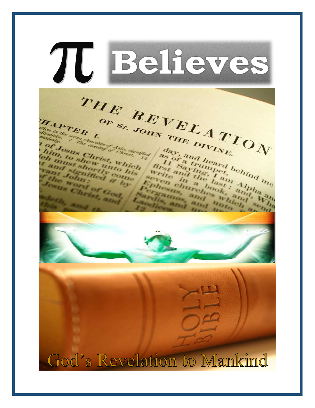Believes TU THE REVELATION OF ST. JOHN THE DIVINE. HAPTER I. then to the seven churches of Asia, signified day, and heard behind me Jesus Christ, Which him, to shew unto his as of a trumper, Appa and the last and the last and the last Appa and ch must shortly como Cand signified a by write in a book, and seven churches which if the word of God, Joseph Christ, and Ephesics, and Pergaines, and unio Sardin, and alle an send 4. God's Revelation to Mankind